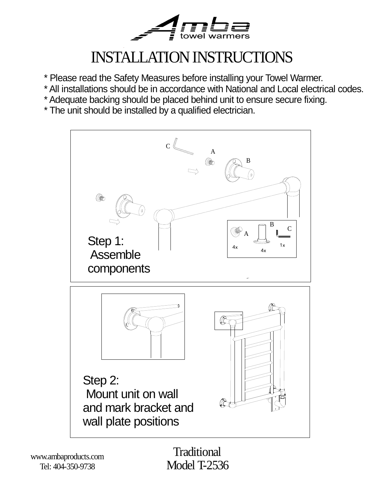

# INSTALLATION INSTRUCTIONS

- \* Please read the Safety Measures before installing your Towel Warmer.
- \* All installations should be in accordance with National and Local electrical codes.
- \* Adequate backing should be placed behind unit to ensure secure fixing.
- \* The unit should be installed by a qualified electrician.



www.ambaproducts.com Tel: 404-350-9738

**Traditional** Model T-2536